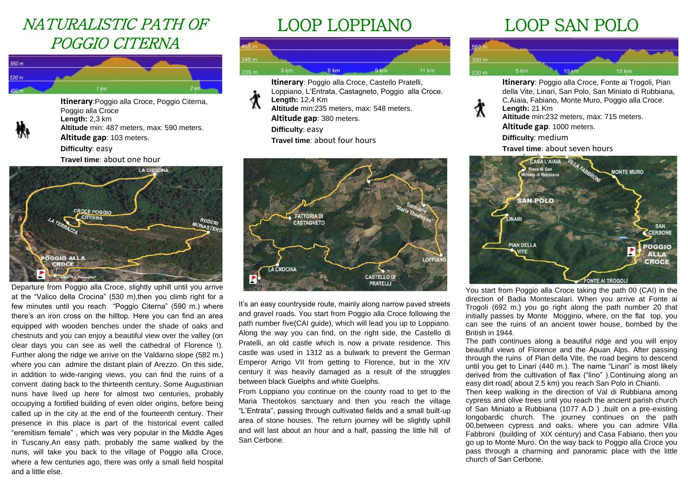## NATURALISTIC PATH OF POGGIO CITERNA



**Itinerary**:Poggio alla Croce, Poggio Citerna, Poggio alla Croce **Length:** 2,3 km **Altitude** min: 487 meters, max: 590 meters. **Altitude gap**: 103 meters. **Difficulty**: easy

**Travel time**: about one hour



Departure from Poggio alla Croce, slightly uphill until you arrive at the "Valico della Crocina" (530 m),then you climb right for a few minutes until you reach "Poggio Citerna" (590 m.) where there's an iron cross on the hilltop. Here you can find an area equipped with wooden benches under the shade of oaks and chestnuts and you can enjoy a beautiful view over the valley (on clear days you can see as well the cathedral of Florence !). Further along the ridge we arrive on the Valdarno slope (582 m.) where you can admire the distant plain of Arezzo. On this side, in addition to wide-ranging views, you can find the ruins of a convent dating back to the thirteenth century. Some Augustinian nuns have lived up here for almost two centuries, probably occupying a fortified building of even older origins, before being called up in the city at the end of the fourteenth century. Their presence in this place is part of the historical event called "eremitism female" , which was very popular in the Middle Ages in Tuscany.An easy path, probably the same walked by the nuns, will take you back to the village of Poggio alla Croce, where a few centuries ago, there was only a small field hospital and a little else.

# LOOP LOPPIANO



**Itinerary**: Poggio alla Croce, Castello Pratelli, Loppiano, L'Entrata, Castagneto, Poggio alla Croce. **Length:** 12,4 Km **Altitude** min:235 meters, max: 548 meters. **Altitude gap**: 380 meters. **Difficulty**: easy **Travel time**: about four hours



It's an easy countryside route, mainly along narrow paved streets and gravel roads. You start from Poggio alla Croce following the path number five(CAI guide), which will lead you up to Loppiano. Along the way you can find, on the right side, the Castello di Pratelli, an old castle which is now a private residence. This castle was used in 1312 as a bulwark to prevent the German Emperor Arrigo VII from getting to Florence, but in the XIV century it was heavily damaged as a result of the struggles between black Guelphs and white Guelphs.

From Loppiano you continue on the county road to get to the Maria Theotokos sanctuary and then you reach the village "L'Entrata", passing through cultivated fields and a small built-up area of stone houses. The return journey will be slightly uphill and will last about an hour and a half, passing the little hill of San Cerbone.

# LOOP SAN POLO



**Itinerary**: Poggio alla Croce, Fonte ai Trogoli, Pian della Vite, Linari, San Polo, San Miniato di Rubbiana, C.Aiaia, Fabiano, Monte Muro, Poggio alla Croce. **Length:** 21 Km **Altitude** min:232 meters, max: 715 meters. **Altitude gap**: 1000 meters. **Difficulty**: medium **Travel time**: about seven hours CASA L'AIAIA Pieve di San **MONTE MURO** to di Ruhhian **SAN POLO INARI SAN** CERBONE **PIAN DELLA POGGIO ALLA CROCE** 

You start from Poggio alla Croce taking the path 00 (CAI) in the direction of Badia Montescalari. When you arrive at Fonte ai Trogoli (692 m.) you go right along the path number 20 that initially passes by Monte Moggino, where, on the flat top, you can see the ruins of an ancient tower house, bombed by the British in 1944.

FONTE AI TROGOL

The path continues along a beautiful ridge and you will enjoy beautiful views of Florence and the Apuan Alps. After passing through the ruins of Pian della Vite, the road begins to descend until you get to Linari (440 m.). The name "Linari" is most likely derived from the cultivation of flax ("lino" ).Continuing along an easy dirt road( about 2.5 km) you reach San Polo in Chianti.

Then keep walking in the direction of Val di Rubbiana among cypress and olive trees until you reach the ancient parish church of San Miniato a Rubbiana (1077 A.D ) ,built on a pre-existing longobardic church. The journey continues on the path 00,between cypress and oaks, where you can admire Villa Fabbroni (building of XIX century) and Casa Fabiano, then you go up to Monte Muro. On the way back to Poggio alla Croce you pass through a charming and panoramic place with the little church of San Cerbone.